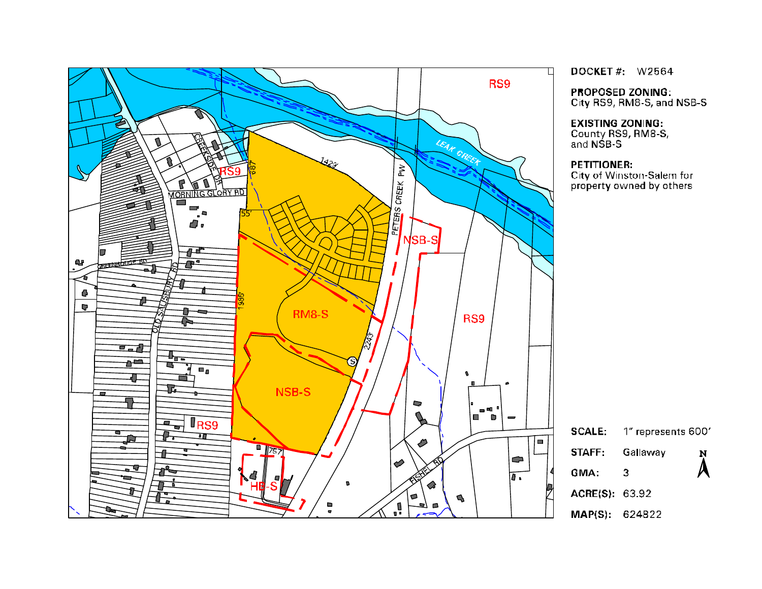

DOCKET#: W2564

**PROPOSED ZONING:** 

City RS9, RM8-S, and NSB-S

#### **EXISTING ZONING:**

County RS9, RM8-S,<br>and NSB-S

#### **PETITIONER:**

City of Winston-Salem for property owned by others

**SCALE:** 1" represents 600' STAFF: Gallaway Ņ  $\lambda$ GMA:  $\mathfrak{Z}$ 

ACRE(S): 63.92

MAP(S): 624822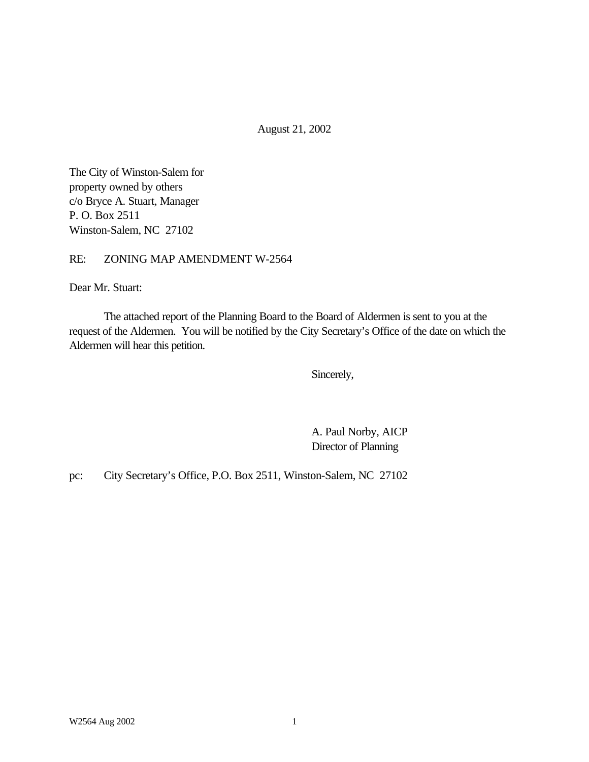August 21, 2002

The City of Winston-Salem for property owned by others c/o Bryce A. Stuart, Manager P. O. Box 2511 Winston-Salem, NC 27102

RE: ZONING MAP AMENDMENT W-2564

Dear Mr. Stuart:

The attached report of the Planning Board to the Board of Aldermen is sent to you at the request of the Aldermen. You will be notified by the City Secretary's Office of the date on which the Aldermen will hear this petition.

Sincerely,

A. Paul Norby, AICP Director of Planning

pc: City Secretary's Office, P.O. Box 2511, Winston-Salem, NC 27102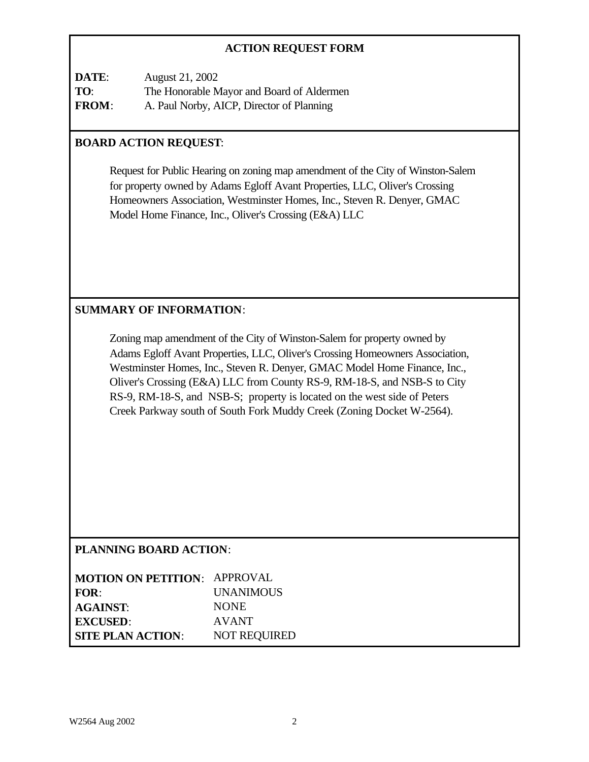# **ACTION REQUEST FORM**

| DATE:        | August 21, 2002                           |
|--------------|-------------------------------------------|
| TO:          | The Honorable Mayor and Board of Aldermen |
| <b>FROM:</b> | A. Paul Norby, AICP, Director of Planning |

# **BOARD ACTION REQUEST**:

Request for Public Hearing on zoning map amendment of the City of Winston-Salem for property owned by Adams Egloff Avant Properties, LLC, Oliver's Crossing Homeowners Association, Westminster Homes, Inc., Steven R. Denyer, GMAC Model Home Finance, Inc., Oliver's Crossing (E&A) LLC

## **SUMMARY OF INFORMATION**:

Zoning map amendment of the City of Winston-Salem for property owned by Adams Egloff Avant Properties, LLC, Oliver's Crossing Homeowners Association, Westminster Homes, Inc., Steven R. Denyer, GMAC Model Home Finance, Inc., Oliver's Crossing (E&A) LLC from County RS-9, RM-18-S, and NSB-S to City RS-9, RM-18-S, and NSB-S; property is located on the west side of Peters Creek Parkway south of South Fork Muddy Creek (Zoning Docket W-2564).

## **PLANNING BOARD ACTION**:

| <b>MOTION ON PETITION: APPROVAL</b> |                     |
|-------------------------------------|---------------------|
| FOR:                                | <b>UNANIMOUS</b>    |
| <b>AGAINST:</b>                     | <b>NONE</b>         |
| <b>EXCUSED:</b>                     | <b>AVANT</b>        |
| <b>SITE PLAN ACTION:</b>            | <b>NOT REQUIRED</b> |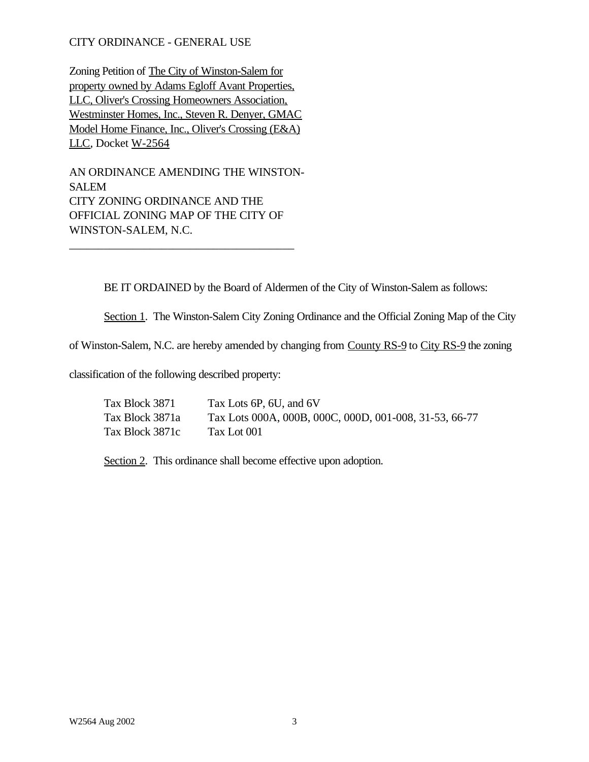### CITY ORDINANCE - GENERAL USE

Zoning Petition of The City of Winston-Salem for property owned by Adams Egloff Avant Properties, LLC, Oliver's Crossing Homeowners Association, Westminster Homes, Inc., Steven R. Denyer, GMAC Model Home Finance, Inc., Oliver's Crossing (E&A) LLC, Docket W-2564

AN ORDINANCE AMENDING THE WINSTON-SALEM CITY ZONING ORDINANCE AND THE OFFICIAL ZONING MAP OF THE CITY OF WINSTON-SALEM, N.C.

\_\_\_\_\_\_\_\_\_\_\_\_\_\_\_\_\_\_\_\_\_\_\_\_\_\_\_\_\_\_\_\_\_\_\_\_\_\_\_

BE IT ORDAINED by the Board of Aldermen of the City of Winston-Salem as follows:

Section 1. The Winston-Salem City Zoning Ordinance and the Official Zoning Map of the City

of Winston-Salem, N.C. are hereby amended by changing from County RS-9 to City RS-9 the zoning

classification of the following described property:

| Tax Block 3871  | Tax Lots 6P, 6U, and 6V                                |
|-----------------|--------------------------------------------------------|
| Tax Block 3871a | Tax Lots 000A, 000B, 000C, 000D, 001-008, 31-53, 66-77 |
| Tax Block 3871c | Tax Lot 001                                            |

Section 2. This ordinance shall become effective upon adoption.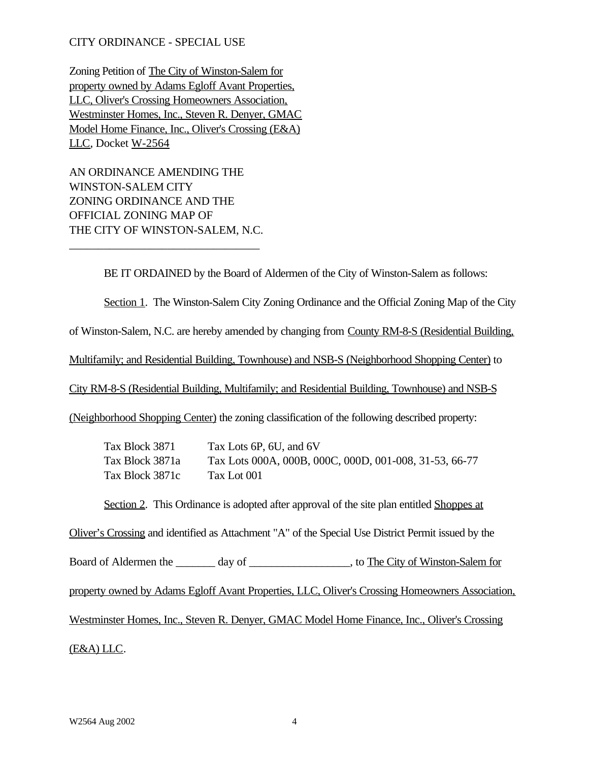### CITY ORDINANCE - SPECIAL USE

Zoning Petition of The City of Winston-Salem for property owned by Adams Egloff Avant Properties, LLC, Oliver's Crossing Homeowners Association, Westminster Homes, Inc., Steven R. Denyer, GMAC Model Home Finance, Inc., Oliver's Crossing (E&A) LLC, Docket W-2564

AN ORDINANCE AMENDING THE WINSTON-SALEM CITY ZONING ORDINANCE AND THE OFFICIAL ZONING MAP OF THE CITY OF WINSTON-SALEM, N.C.

\_\_\_\_\_\_\_\_\_\_\_\_\_\_\_\_\_\_\_\_\_\_\_\_\_\_\_\_\_\_\_\_\_

BE IT ORDAINED by the Board of Aldermen of the City of Winston-Salem as follows:

Section 1. The Winston-Salem City Zoning Ordinance and the Official Zoning Map of the City

of Winston-Salem, N.C. are hereby amended by changing from County RM-8-S (Residential Building,

Multifamily; and Residential Building, Townhouse) and NSB-S (Neighborhood Shopping Center) to

City RM-8-S (Residential Building, Multifamily; and Residential Building, Townhouse) and NSB-S

(Neighborhood Shopping Center) the zoning classification of the following described property:

| Tax Block 3871  | Tax Lots 6P, 6U, and 6V                                |
|-----------------|--------------------------------------------------------|
| Tax Block 3871a | Tax Lots 000A, 000B, 000C, 000D, 001-008, 31-53, 66-77 |
| Tax Block 3871c | Tax Lot 001                                            |

Section 2. This Ordinance is adopted after approval of the site plan entitled Shoppes at

Oliver's Crossing and identified as Attachment "A" of the Special Use District Permit issued by the

Board of Aldermen the day of the City of Winston-Salem for

property owned by Adams Egloff Avant Properties, LLC, Oliver's Crossing Homeowners Association,

Westminster Homes, Inc., Steven R. Denyer, GMAC Model Home Finance, Inc., Oliver's Crossing

(E&A) LLC.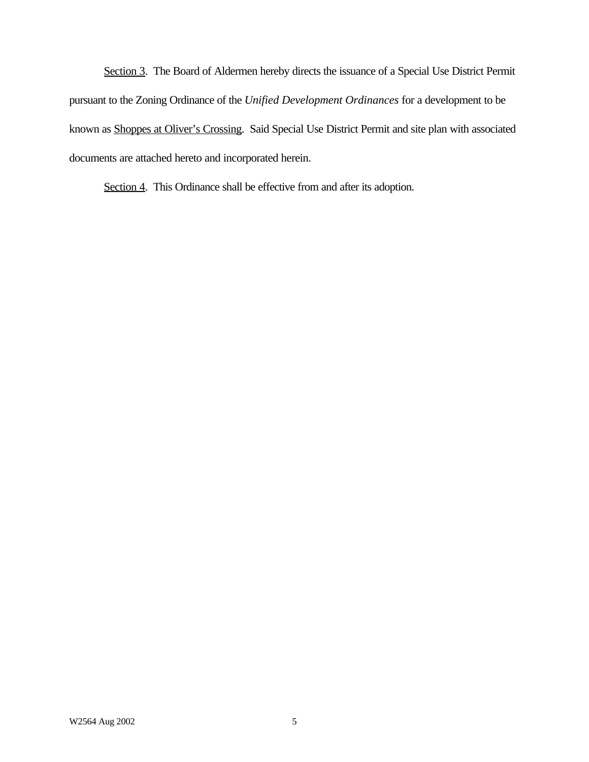Section 3. The Board of Aldermen hereby directs the issuance of a Special Use District Permit pursuant to the Zoning Ordinance of the *Unified Development Ordinances* for a development to be known as Shoppes at Oliver's Crossing. Said Special Use District Permit and site plan with associated documents are attached hereto and incorporated herein.

Section 4. This Ordinance shall be effective from and after its adoption.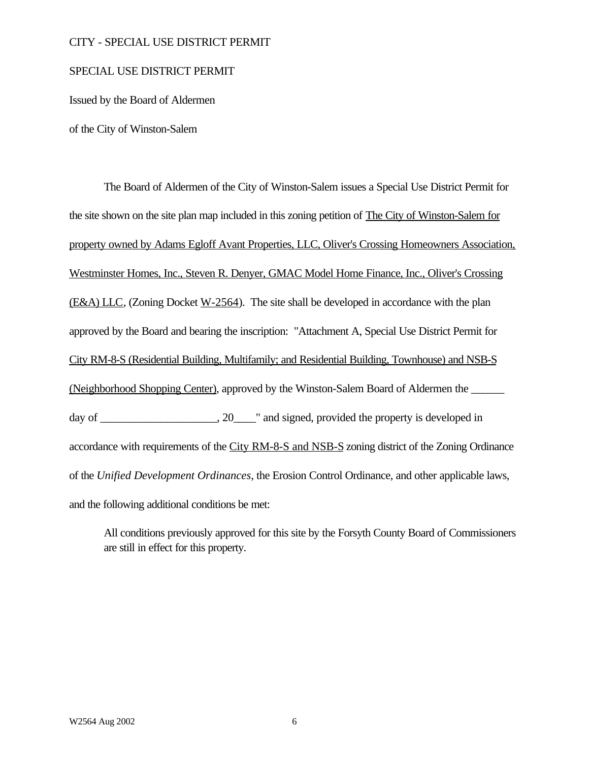### CITY - SPECIAL USE DISTRICT PERMIT

#### SPECIAL USE DISTRICT PERMIT

Issued by the Board of Aldermen

of the City of Winston-Salem

The Board of Aldermen of the City of Winston-Salem issues a Special Use District Permit for the site shown on the site plan map included in this zoning petition of The City of Winston-Salem for property owned by Adams Egloff Avant Properties, LLC, Oliver's Crossing Homeowners Association, Westminster Homes, Inc., Steven R. Denyer, GMAC Model Home Finance, Inc., Oliver's Crossing (E&A) LLC, (Zoning Docket W-2564). The site shall be developed in accordance with the plan approved by the Board and bearing the inscription: "Attachment A, Special Use District Permit for City RM-8-S (Residential Building, Multifamily; and Residential Building, Townhouse) and NSB-S (Neighborhood Shopping Center), approved by the Winston-Salem Board of Aldermen the \_\_\_\_\_\_ day of \_\_\_\_\_\_\_\_\_\_\_\_\_\_\_\_, 20\_\_\_\_" and signed, provided the property is developed in accordance with requirements of the City RM-8-S and NSB-S zoning district of the Zoning Ordinance of the *Unified Development Ordinances*, the Erosion Control Ordinance, and other applicable laws, and the following additional conditions be met:

All conditions previously approved for this site by the Forsyth County Board of Commissioners are still in effect for this property.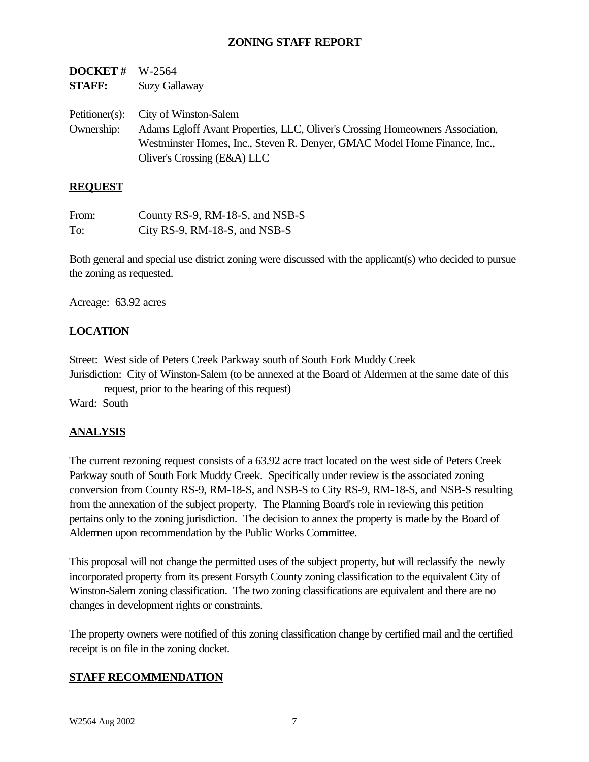# **ZONING STAFF REPORT**

| <b>DOCKET <math>\bar{\pi}</math></b> W-2564<br><b>STAFF:</b> | <b>Suzy Gallaway</b>                                                                                                                                                                                                              |
|--------------------------------------------------------------|-----------------------------------------------------------------------------------------------------------------------------------------------------------------------------------------------------------------------------------|
| Ownership:                                                   | Petitioner(s): City of Winston-Salem<br>Adams Egloff Avant Properties, LLC, Oliver's Crossing Homeowners Association,<br>Westminster Homes, Inc., Steven R. Denyer, GMAC Model Home Finance, Inc.,<br>Oliver's Crossing (E&A) LLC |

#### **REQUEST**

**DOCUTER #** W. 2564

| From: | County RS-9, RM-18-S, and NSB-S |
|-------|---------------------------------|
| To:   | City RS-9, RM-18-S, and NSB-S   |

Both general and special use district zoning were discussed with the applicant(s) who decided to pursue the zoning as requested.

Acreage: 63.92 acres

### **LOCATION**

Street: West side of Peters Creek Parkway south of South Fork Muddy Creek

Jurisdiction: City of Winston-Salem (to be annexed at the Board of Aldermen at the same date of this request, prior to the hearing of this request)

Ward: South

### **ANALYSIS**

The current rezoning request consists of a 63.92 acre tract located on the west side of Peters Creek Parkway south of South Fork Muddy Creek. Specifically under review is the associated zoning conversion from County RS-9, RM-18-S, and NSB-S to City RS-9, RM-18-S, and NSB-S resulting from the annexation of the subject property. The Planning Board's role in reviewing this petition pertains only to the zoning jurisdiction. The decision to annex the property is made by the Board of Aldermen upon recommendation by the Public Works Committee.

This proposal will not change the permitted uses of the subject property, but will reclassify the newly incorporated property from its present Forsyth County zoning classification to the equivalent City of Winston-Salem zoning classification. The two zoning classifications are equivalent and there are no changes in development rights or constraints.

The property owners were notified of this zoning classification change by certified mail and the certified receipt is on file in the zoning docket.

### **STAFF RECOMMENDATION**